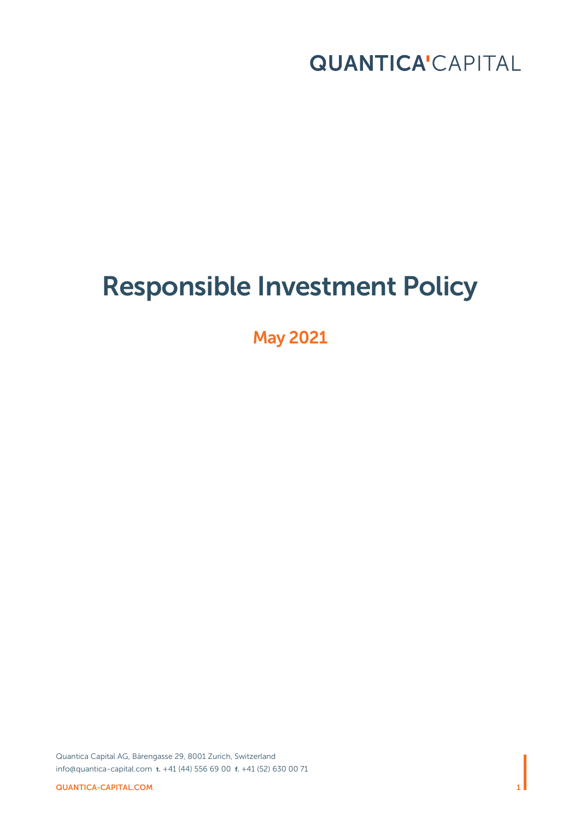

# Responsible Investment Policy

May 2021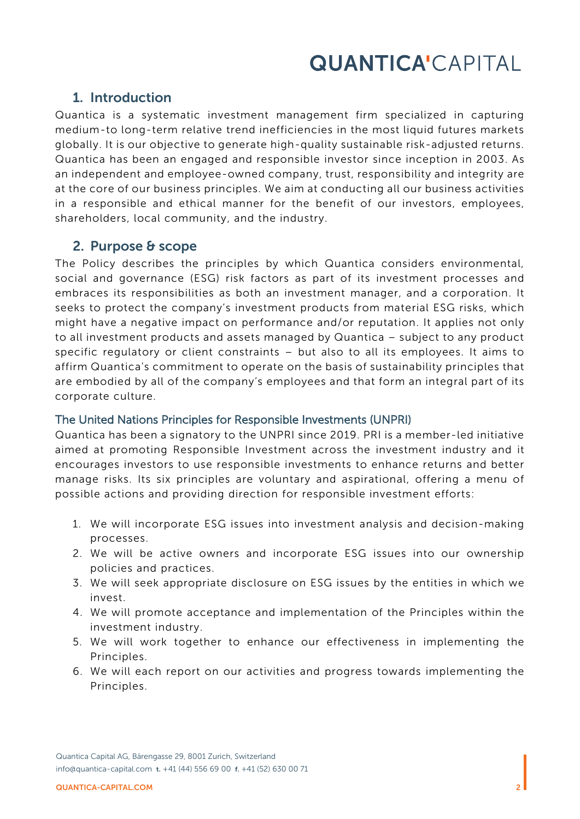## 1. Introduction

Quantica is a systematic investment management firm specialized in capturing medium-to long-term relative trend inefficiencies in the most liquid futures markets globally. It is our objective to generate high-quality sustainable risk-adjusted returns. Quantica has been an engaged and responsible investor since inception in 2003. As an independent and employee-owned company, trust, responsibility and integrity are at the core of our business principles. We aim at conducting all our business activities in a responsible and ethical manner for the benefit of our investors, employees, shareholders, local community, and the industry.

### 2. Purpose & scope

The Policy describes the principles by which Quantica considers environmental, social and governance (ESG) risk factors as part of its investment processes and embraces its responsibilities as both an investment manager, and a corporation. It seeks to protect the company's investment products from material ESG risks, which might have a negative impact on performance and/or reputation. It applies not only to all investment products and assets managed by Quantica – subject to any product specific regulatory or client constraints – but also to all its employees. It aims to affirm Quantica's commitment to operate on the basis of sustainability principles that are embodied by all of the company's employees and that form an integral part of its corporate culture.

#### The United Nations Principles for Responsible Investments (UNPRI)

Quantica has been a signatory to the UNPRI since 2019. PRI is a member-led initiative aimed at promoting Responsible Investment across the investment industry and it encourages investors to use responsible investments to enhance returns and better manage risks. Its six principles are voluntary and aspirational, offering a menu of possible actions and providing direction for responsible investment efforts:

- 1. We will incorporate ESG issues into investment analysis and decision-making processes.
- 2. We will be active owners and incorporate ESG issues into our ownership policies and practices.
- 3. We will seek appropriate disclosure on ESG issues by the entities in which we invest.
- 4. We will promote acceptance and implementation of the Principles within the investment industry.
- 5. We will work together to enhance our effectiveness in implementing the Principles.
- 6. We will each report on our activities and progress towards implementing the Principles.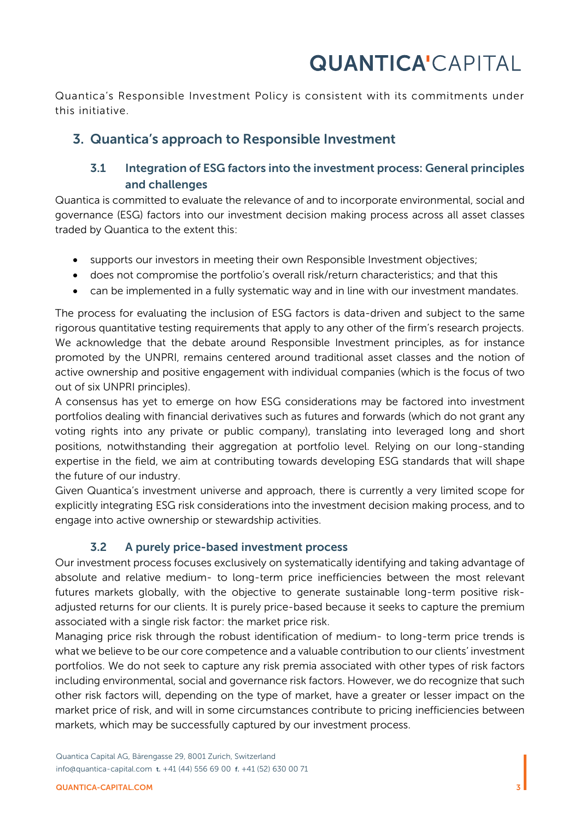Quantica's Responsible Investment Policy is consistent with its commitments under this initiative.

## 3. Quantica's approach to Responsible Investment

## 3.1 Integration of ESG factors into the investment process: General principles and challenges

Quantica is committed to evaluate the relevance of and to incorporate environmental, social and governance (ESG) factors into our investment decision making process across all asset classes traded by Quantica to the extent this:

- supports our investors in meeting their own Responsible Investment objectives;
- does not compromise the portfolio's overall risk/return characteristics; and that this
- can be implemented in a fully systematic way and in line with our investment mandates.

The process for evaluating the inclusion of ESG factors is data-driven and subject to the same rigorous quantitative testing requirements that apply to any other of the firm's research projects. We acknowledge that the debate around Responsible Investment principles, as for instance promoted by the UNPRI, remains centered around traditional asset classes and the notion of active ownership and positive engagement with individual companies (which is the focus of two out of six UNPRI principles).

A consensus has yet to emerge on how ESG considerations may be factored into investment portfolios dealing with financial derivatives such as futures and forwards (which do not grant any voting rights into any private or public company), translating into leveraged long and short positions, notwithstanding their aggregation at portfolio level. Relying on our long-standing expertise in the field, we aim at contributing towards developing ESG standards that will shape the future of our industry.

Given Quantica's investment universe and approach, there is currently a very limited scope for explicitly integrating ESG risk considerations into the investment decision making process, and to engage into active ownership or stewardship activities.

### 3.2 A purely price-based investment process

Our investment process focuses exclusively on systematically identifying and taking advantage of absolute and relative medium- to long-term price inefficiencies between the most relevant futures markets globally, with the objective to generate sustainable long-term positive riskadjusted returns for our clients. It is purely price-based because it seeks to capture the premium associated with a single risk factor: the market price risk.

Managing price risk through the robust identification of medium- to long-term price trends is what we believe to be our core competence and a valuable contribution to our clients' investment portfolios. We do not seek to capture any risk premia associated with other types of risk factors including environmental, social and governance risk factors. However, we do recognize that such other risk factors will, depending on the type of market, have a greater or lesser impact on the market price of risk, and will in some circumstances contribute to pricing inefficiencies between markets, which may be successfully captured by our investment process.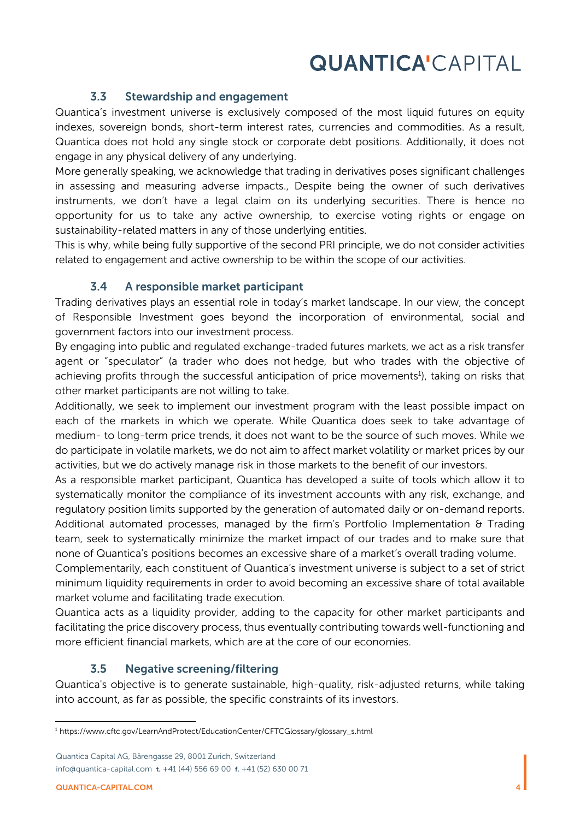#### 3.3 Stewardship and engagement

Quantica's investment universe is exclusively composed of the most liquid futures on equity indexes, sovereign bonds, short-term interest rates, currencies and commodities. As a result, Quantica does not hold any single stock or corporate debt positions. Additionally, it does not engage in any physical delivery of any underlying.

More generally speaking, we acknowledge that trading in derivatives poses significant challenges in assessing and measuring adverse impacts., Despite being the owner of such derivatives instruments, we don't have a legal claim on its underlying securities. There is hence no opportunity for us to take any active ownership, to exercise voting rights or engage on sustainability-related matters in any of those underlying entities.

This is why, while being fully supportive of the second PRI principle, we do not consider activities related to engagement and active ownership to be within the scope of our activities.

#### 3.4 A responsible market participant

Trading derivatives plays an essential role in today's market landscape. In our view, the concept of Responsible Investment goes beyond the incorporation of environmental, social and government factors into our investment process.

By engaging into public and regulated exchange-traded futures markets, we act as a risk transfer agent or "speculator" (a trader who does not [hedge,](https://www.cftc.gov/LearnAndProtect/EducationCenter/CFTCGlossary/glossary_h.html#hedge) but who trades with the objective of achieving profits through the successful anticipation of price movements<sup>1</sup>), taking on risks that other market participants are not willing to take.

Additionally, we seek to implement our investment program with the least possible impact on each of the markets in which we operate. While Quantica does seek to take advantage of medium- to long-term price trends, it does not want to be the source of such moves. While we do participate in volatile markets, we do not aim to affect market volatility or market prices by our activities, but we do actively manage risk in those markets to the benefit of our investors.

As a responsible market participant, Quantica has developed a suite of tools which allow it to systematically monitor the compliance of its investment accounts with any risk, exchange, and regulatory position limits supported by the generation of automated daily or on-demand reports. Additional automated processes, managed by the firm's Portfolio Implementation & Trading team, seek to systematically minimize the market impact of our trades and to make sure that none of Quantica's positions becomes an excessive share of a market's overall trading volume.

Complementarily, each constituent of Quantica's investment universe is subject to a set of strict minimum liquidity requirements in order to avoid becoming an excessive share of total available market volume and facilitating trade execution.

Quantica acts as a liquidity provider, adding to the capacity for other market participants and facilitating the price discovery process, thus eventually contributing towards well-functioning and more efficient financial markets, which are at the core of our economies.

### 3.5 Negative screening/filtering

Quantica's objective is to generate sustainable, high-quality, risk-adjusted returns, while taking into account, as far as possible, the specific constraints of its investors.

<sup>1</sup> https://www.cftc.gov/LearnAndProtect/EducationCenter/CFTCGlossary/glossary\_s.html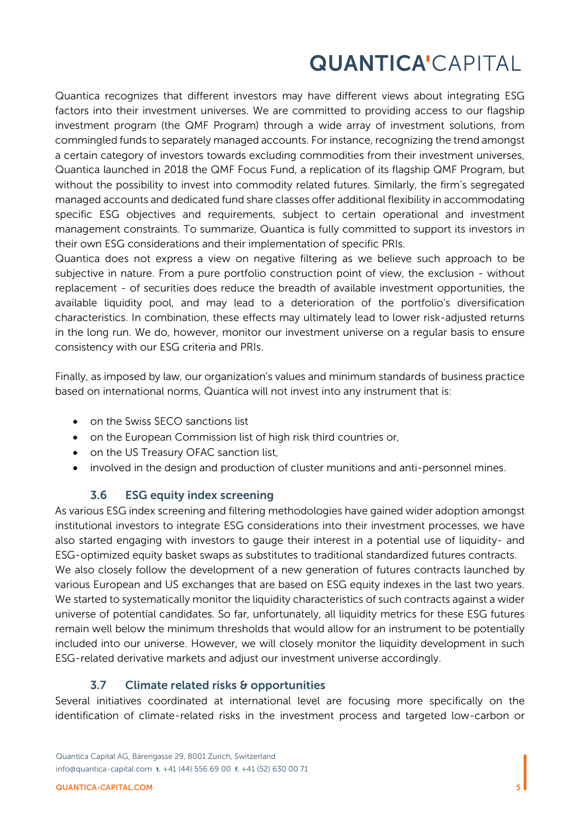Quantica recognizes that different investors may have different views about integrating ESG factors into their investment universes. We are committed to providing access to our flagship investment program (the QMF Program) through a wide array of investment solutions, from commingled funds to separately managed accounts. For instance, recognizing the trend amongst a certain category of investors towards excluding commodities from their investment universes, Quantica launched in 2018 the QMF Focus Fund, a replication of its flagship QMF Program, but without the possibility to invest into commodity related futures. Similarly, the firm's segregated managed accounts and dedicated fund share classes offer additional flexibility in accommodating specific ESG objectives and requirements, subject to certain operational and investment management constraints. To summarize, Quantica is fully committed to support its investors in their own ESG considerations and their implementation of specific PRIs.

Quantica does not express a view on negative filtering as we believe such approach to be subjective in nature. From a pure portfolio construction point of view, the exclusion - without replacement - of securities does reduce the breadth of available investment opportunities, the available liquidity pool, and may lead to a deterioration of the portfolio's diversification characteristics. In combination, these effects may ultimately lead to lower risk-adjusted returns in the long run. We do, however, monitor our investment universe on a regular basis to ensure consistency with our ESG criteria and PRIs.

Finally, as imposed by law, our organization's values and minimum standards of business practice based on international norms, Quantica will not invest into any instrument that is:

- on the Swiss SECO sanctions list
- on the European Commission list of high risk third countries or,
- on the US Treasury OFAC sanction list,
- involved in the design and production of cluster munitions and anti-personnel mines.

### 3.6 ESG equity index screening

As various ESG index screening and filtering methodologies have gained wider adoption amongst institutional investors to integrate ESG considerations into their investment processes, we have also started engaging with investors to gauge their interest in a potential use of liquidity- and ESG-optimized equity basket swaps as substitutes to traditional standardized futures contracts. We also closely follow the development of a new generation of futures contracts launched by various European and US exchanges that are based on ESG equity indexes in the last two years. We started to systematically monitor the liquidity characteristics of such contracts against a wider universe of potential candidates. So far, unfortunately, all liquidity metrics for these ESG futures remain well below the minimum thresholds that would allow for an instrument to be potentially included into our universe. However, we will closely monitor the liquidity development in such ESG-related derivative markets and adjust our investment universe accordingly.

### 3.7 Climate related risks & opportunities

Several initiatives coordinated at international level are focusing more specifically on the identification of climate-related risks in the investment process and targeted low-carbon or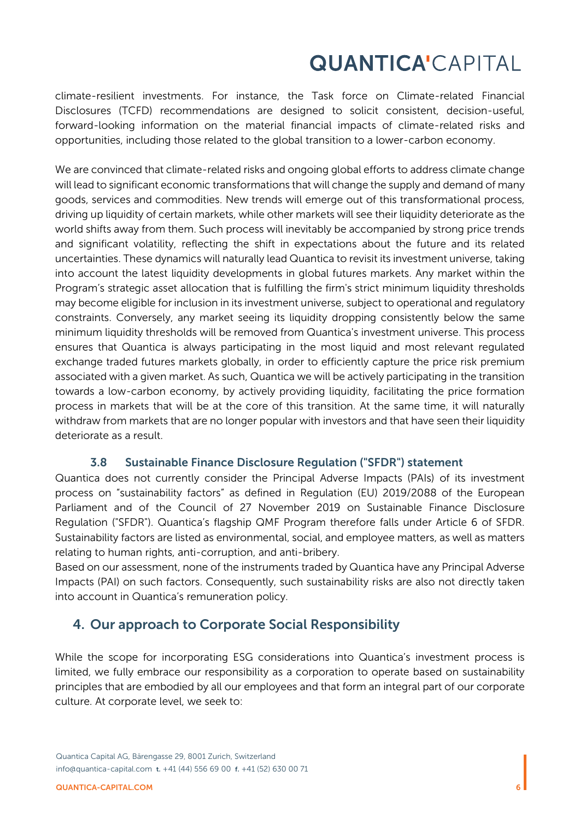climate-resilient investments. For instance, the Task force on Climate-related Financial Disclosures (TCFD) recommendations are designed to solicit consistent, decision-useful, forward-looking information on the material financial impacts of climate-related risks and opportunities, including those related to the global transition to a lower-carbon economy.

We are convinced that climate-related risks and ongoing global efforts to address climate change will lead to significant economic transformations that will change the supply and demand of many goods, services and commodities. New trends will emerge out of this transformational process, driving up liquidity of certain markets, while other markets will see their liquidity deteriorate as the world shifts away from them. Such process will inevitably be accompanied by strong price trends and significant volatility, reflecting the shift in expectations about the future and its related uncertainties. These dynamics will naturally lead Quantica to revisit its investment universe, taking into account the latest liquidity developments in global futures markets. Any market within the Program's strategic asset allocation that is fulfilling the firm's strict minimum liquidity thresholds may become eligible for inclusion in its investment universe, subject to operational and regulatory constraints. Conversely, any market seeing its liquidity dropping consistently below the same minimum liquidity thresholds will be removed from Quantica's investment universe. This process ensures that Quantica is always participating in the most liquid and most relevant regulated exchange traded futures markets globally, in order to efficiently capture the price risk premium associated with a given market. As such, Quantica we will be actively participating in the transition towards a low-carbon economy, by actively providing liquidity, facilitating the price formation process in markets that will be at the core of this transition. At the same time, it will naturally withdraw from markets that are no longer popular with investors and that have seen their liquidity deteriorate as a result.

#### 3.8 Sustainable Finance Disclosure Regulation ("SFDR") statement

Quantica does not currently consider the Principal Adverse Impacts (PAIs) of its investment process on "sustainability factors" as defined in Regulation (EU) 2019/2088 of the European Parliament and of the Council of 27 November 2019 on Sustainable Finance Disclosure Regulation ("SFDR"). Quantica's flagship QMF Program therefore falls under Article 6 of SFDR. Sustainability factors are listed as environmental, social, and employee matters, as well as matters relating to human rights, anti-corruption, and anti-bribery.

Based on our assessment, none of the instruments traded by Quantica have any Principal Adverse Impacts (PAI) on such factors. Consequently, such sustainability risks are also not directly taken into account in Quantica's remuneration policy.

## 4. Our approach to Corporate Social Responsibility

While the scope for incorporating ESG considerations into Quantica's investment process is limited, we fully embrace our responsibility as a corporation to operate based on sustainability principles that are embodied by all our employees and that form an integral part of our corporate culture. At corporate level, we seek to: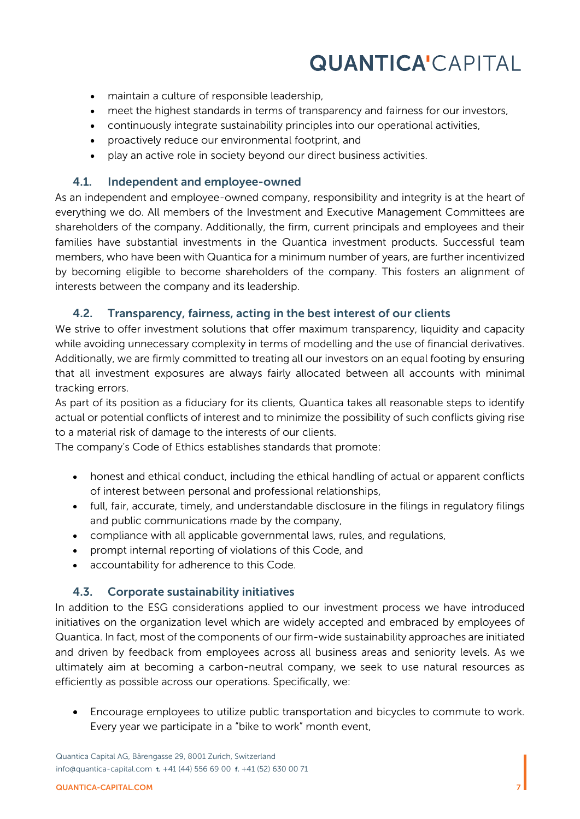- maintain a culture of responsible leadership,
- meet the highest standards in terms of transparency and fairness for our investors,
- continuously integrate sustainability principles into our operational activities,
- proactively reduce our environmental footprint, and
- play an active role in society beyond our direct business activities.

#### 4.1. Independent and employee-owned

As an independent and employee-owned company, responsibility and integrity is at the heart of everything we do. All members of the Investment and Executive Management Committees are shareholders of the company. Additionally, the firm, current principals and employees and their families have substantial investments in the Quantica investment products. Successful team members, who have been with Quantica for a minimum number of years, are further incentivized by becoming eligible to become shareholders of the company. This fosters an alignment of interests between the company and its leadership.

#### 4.2. Transparency, fairness, acting in the best interest of our clients

We strive to offer investment solutions that offer maximum transparency, liquidity and capacity while avoiding unnecessary complexity in terms of modelling and the use of financial derivatives. Additionally, we are firmly committed to treating all our investors on an equal footing by ensuring that all investment exposures are always fairly allocated between all accounts with minimal tracking errors.

As part of its position as a fiduciary for its clients, Quantica takes all reasonable steps to identify actual or potential conflicts of interest and to minimize the possibility of such conflicts giving rise to a material risk of damage to the interests of our clients.

The company's Code of Ethics establishes standards that promote:

- honest and ethical conduct, including the ethical handling of actual or apparent conflicts of interest between personal and professional relationships,
- full, fair, accurate, timely, and understandable disclosure in the filings in regulatory filings and public communications made by the company,
- compliance with all applicable governmental laws, rules, and regulations,
- prompt internal reporting of violations of this Code, and
- accountability for adherence to this Code.

#### 4.3. Corporate sustainability initiatives

In addition to the ESG considerations applied to our investment process we have introduced initiatives on the organization level which are widely accepted and embraced by employees of Quantica. In fact, most of the components of our firm-wide sustainability approaches are initiated and driven by feedback from employees across all business areas and seniority levels. As we ultimately aim at becoming a carbon-neutral company, we seek to use natural resources as efficiently as possible across our operations. Specifically, we:

• Encourage employees to utilize public transportation and bicycles to commute to work. Every year we participate in a "bike to work" month event,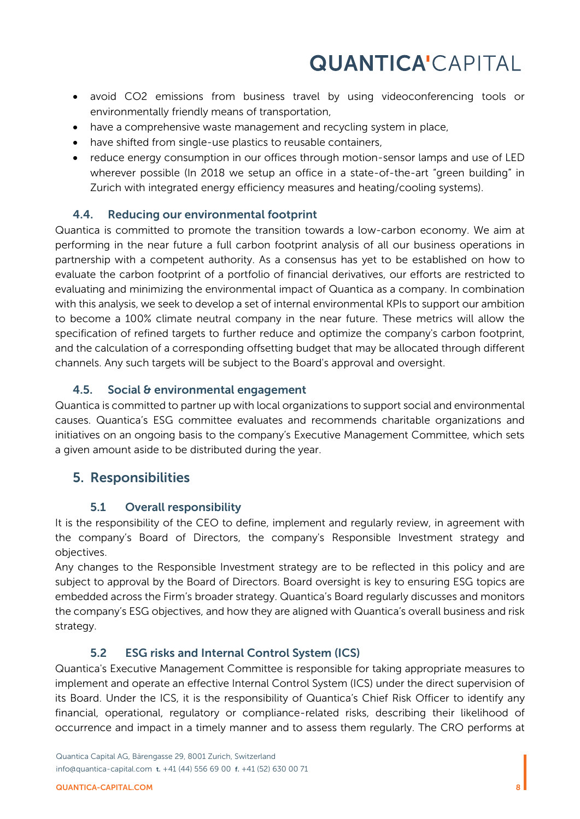- avoid CO2 emissions from business travel by using videoconferencing tools or environmentally friendly means of transportation,
- have a comprehensive waste management and recycling system in place,
- have shifted from single-use plastics to reusable containers,
- reduce energy consumption in our offices through motion-sensor lamps and use of LED wherever possible (In 2018 we setup an office in a state-of-the-art "green building" in Zurich with integrated energy efficiency measures and heating/cooling systems).

#### 4.4. Reducing our environmental footprint

Quantica is committed to promote the transition towards a low-carbon economy. We aim at performing in the near future a full carbon footprint analysis of all our business operations in partnership with a competent authority. As a consensus has yet to be established on how to evaluate the carbon footprint of a portfolio of financial derivatives, our efforts are restricted to evaluating and minimizing the environmental impact of Quantica as a company. In combination with this analysis, we seek to develop a set of internal environmental KPIs to support our ambition to become a 100% climate neutral company in the near future. These metrics will allow the specification of refined targets to further reduce and optimize the company's carbon footprint, and the calculation of a corresponding offsetting budget that may be allocated through different channels. Any such targets will be subject to the Board's approval and oversight.

### 4.5. Social & environmental engagement

Quantica is committed to partner up with local organizations to support social and environmental causes. Quantica's ESG committee evaluates and recommends charitable organizations and initiatives on an ongoing basis to the company's Executive Management Committee, which sets a given amount aside to be distributed during the year.

## 5. Responsibilities

### 5.1 Overall responsibility

It is the responsibility of the CEO to define, implement and regularly review, in agreement with the company's Board of Directors, the company's Responsible Investment strategy and objectives.

Any changes to the Responsible Investment strategy are to be reflected in this policy and are subject to approval by the Board of Directors. Board oversight is key to ensuring ESG topics are embedded across the Firm's broader strategy. Quantica's Board regularly discusses and monitors the company's ESG objectives, and how they are aligned with Quantica's overall business and risk strategy.

#### 5.2 ESG risks and Internal Control System (ICS)

Quantica's Executive Management Committee is responsible for taking appropriate measures to implement and operate an effective Internal Control System (ICS) under the direct supervision of its Board. Under the ICS, it is the responsibility of Quantica's Chief Risk Officer to identify any financial, operational, regulatory or compliance-related risks, describing their likelihood of occurrence and impact in a timely manner and to assess them regularly. The CRO performs at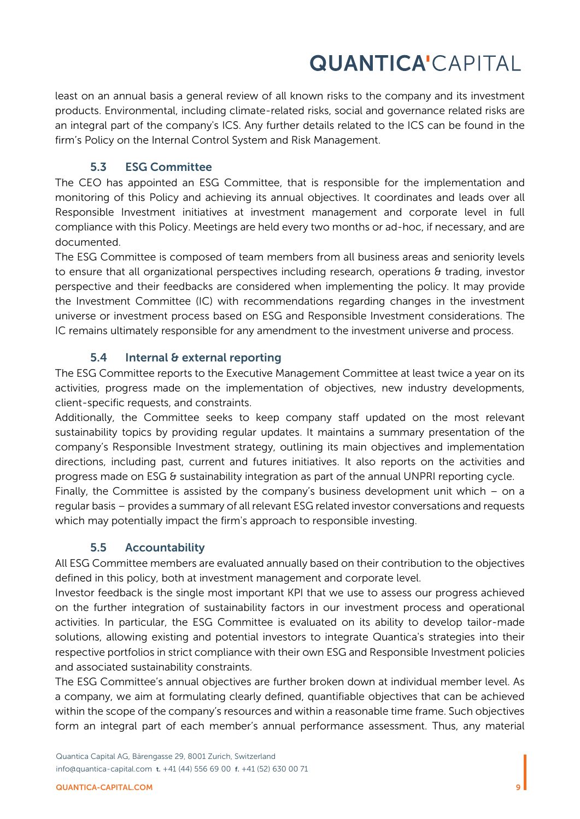least on an annual basis a general review of all known risks to the company and its investment products. Environmental, including climate-related risks, social and governance related risks are an integral part of the company's ICS. Any further details related to the ICS can be found in the firm's Policy on the Internal Control System and Risk Management.

### 5.3 ESG Committee

The CEO has appointed an ESG Committee, that is responsible for the implementation and monitoring of this Policy and achieving its annual objectives. It coordinates and leads over all Responsible Investment initiatives at investment management and corporate level in full compliance with this Policy. Meetings are held every two months or ad-hoc, if necessary, and are documented.

The ESG Committee is composed of team members from all business areas and seniority levels to ensure that all organizational perspectives including research, operations & trading, investor perspective and their feedbacks are considered when implementing the policy. It may provide the Investment Committee (IC) with recommendations regarding changes in the investment universe or investment process based on ESG and Responsible Investment considerations. The IC remains ultimately responsible for any amendment to the investment universe and process.

### 5.4 Internal & external reporting

The ESG Committee reports to the Executive Management Committee at least twice a year on its activities, progress made on the implementation of objectives, new industry developments, client-specific requests, and constraints.

Additionally, the Committee seeks to keep company staff updated on the most relevant sustainability topics by providing regular updates. It maintains a summary presentation of the company's Responsible Investment strategy, outlining its main objectives and implementation directions, including past, current and futures initiatives. It also reports on the activities and progress made on ESG & sustainability integration as part of the annual UNPRI reporting cycle.

Finally, the Committee is assisted by the company's business development unit which  $-$  on a regular basis – provides a summary of all relevant ESG related investor conversations and requests which may potentially impact the firm's approach to responsible investing.

## 5.5 Accountability

All ESG Committee members are evaluated annually based on their contribution to the objectives defined in this policy, both at investment management and corporate level.

Investor feedback is the single most important KPI that we use to assess our progress achieved on the further integration of sustainability factors in our investment process and operational activities. In particular, the ESG Committee is evaluated on its ability to develop tailor-made solutions, allowing existing and potential investors to integrate Quantica's strategies into their respective portfolios in strict compliance with their own ESG and Responsible Investment policies and associated sustainability constraints.

The ESG Committee's annual objectives are further broken down at individual member level. As a company, we aim at formulating clearly defined, quantifiable objectives that can be achieved within the scope of the company's resources and within a reasonable time frame. Such objectives form an integral part of each member's annual performance assessment. Thus, any material